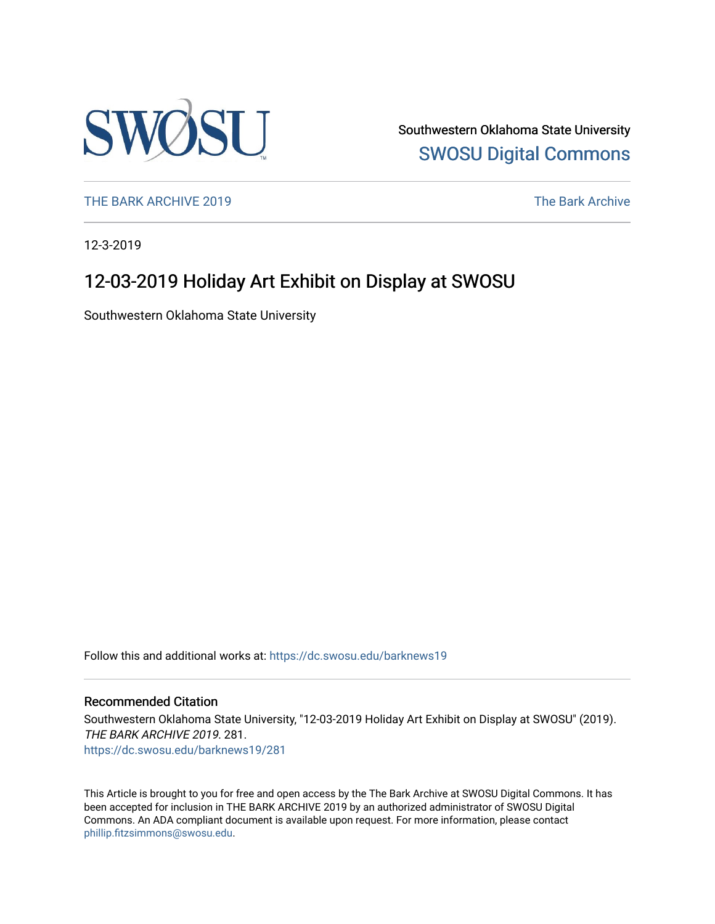

Southwestern Oklahoma State University [SWOSU Digital Commons](https://dc.swosu.edu/) 

[THE BARK ARCHIVE 2019](https://dc.swosu.edu/barknews19) The Bark Archive

12-3-2019

### 12-03-2019 Holiday Art Exhibit on Display at SWOSU

Southwestern Oklahoma State University

Follow this and additional works at: [https://dc.swosu.edu/barknews19](https://dc.swosu.edu/barknews19?utm_source=dc.swosu.edu%2Fbarknews19%2F281&utm_medium=PDF&utm_campaign=PDFCoverPages)

#### Recommended Citation

Southwestern Oklahoma State University, "12-03-2019 Holiday Art Exhibit on Display at SWOSU" (2019). THE BARK ARCHIVE 2019. 281. [https://dc.swosu.edu/barknews19/281](https://dc.swosu.edu/barknews19/281?utm_source=dc.swosu.edu%2Fbarknews19%2F281&utm_medium=PDF&utm_campaign=PDFCoverPages)

This Article is brought to you for free and open access by the The Bark Archive at SWOSU Digital Commons. It has been accepted for inclusion in THE BARK ARCHIVE 2019 by an authorized administrator of SWOSU Digital Commons. An ADA compliant document is available upon request. For more information, please contact [phillip.fitzsimmons@swosu.edu](mailto:phillip.fitzsimmons@swosu.edu).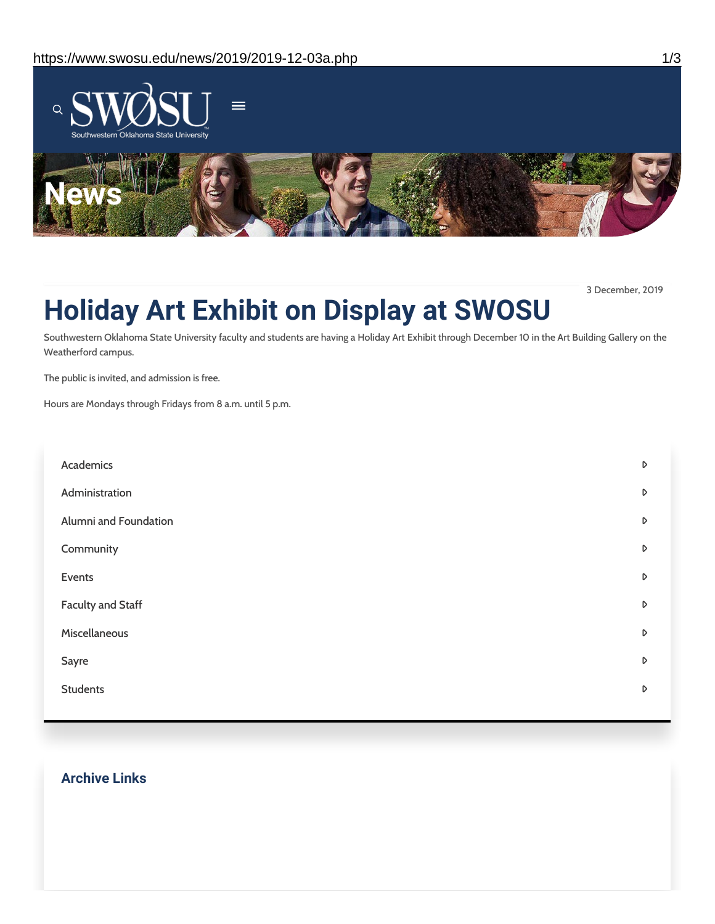

3 December, 2019

## **Holiday Art Exhibit on Display at SWOSU**

Southwestern Oklahoma State University faculty and students are having a Holiday Art Exhibit through December 10 in the Art Building Gallery on the Weatherford campus.

The public is invited, and admission is free.

Hours are Mondays through Fridays from 8 a.m. until 5 p.m.

| Academics                | D |
|--------------------------|---|
| Administration           | D |
| Alumni and Foundation    | D |
| Community                | D |
| Events                   | D |
| <b>Faculty and Staff</b> | D |
| Miscellaneous            | D |
| Sayre                    | D |
| <b>Students</b>          | D |
|                          |   |

#### **Archive Links**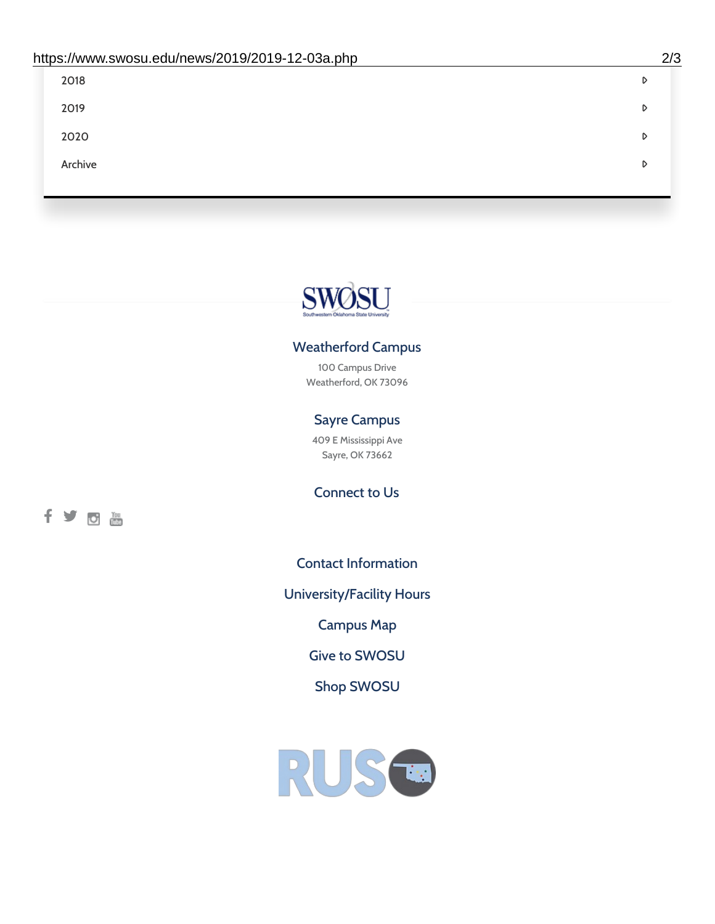| 2018    | D |
|---------|---|
| 2019    | D |
| 2020    | D |
| Archive | D |
|         |   |

# SWØSU

#### Weatherford Campus

100 Campus Drive Weatherford, OK 73096

#### Sayre Campus

409 E Mississippi Ave Sayre, OK 73662

fyom

Connect to Us

Contact [Information](https://www.swosu.edu/about/contact.php)

[University/Facility](https://www.swosu.edu/about/operating-hours.php) Hours

[Campus](https://map.concept3d.com/?id=768#!ct/10964,10214,10213,10212,10205,10204,10203,10202,10136,10129,10128,0,31226,10130,10201,10641,0) Map

Give to [SWOSU](https://standingfirmly.com/donate)

Shop [SWOSU](https://shopswosu.merchorders.com/)